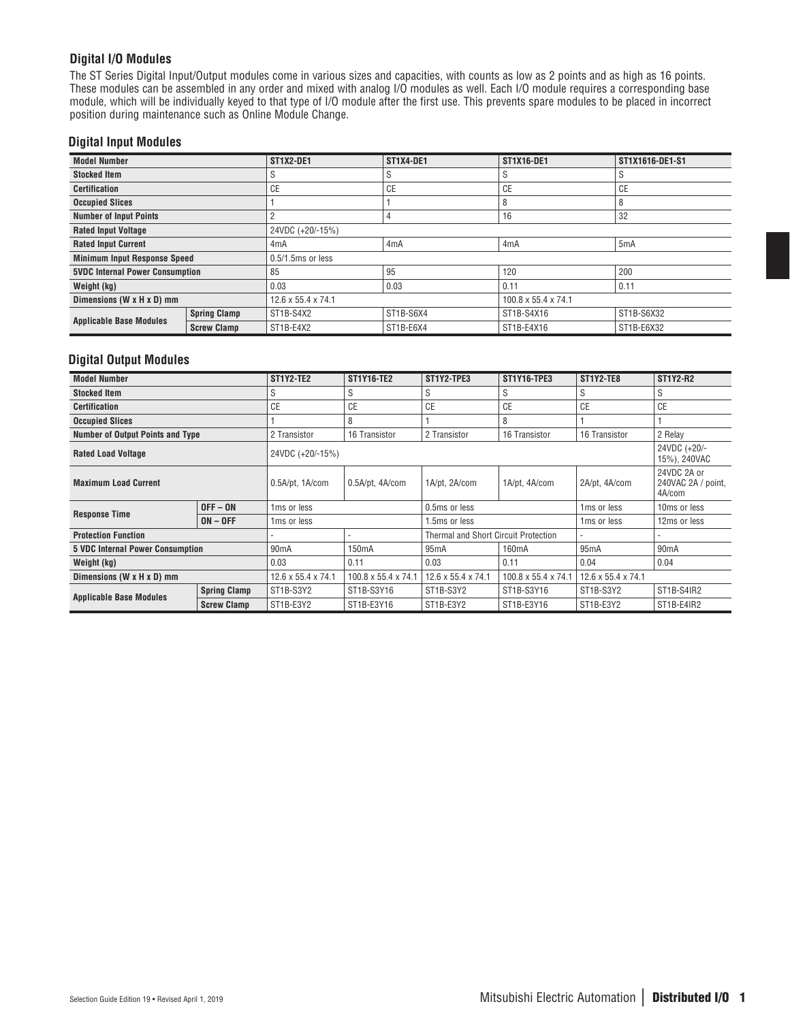## **Digital I/O Modules**

The ST Series Digital Input/Output modules come in various sizes and capacities, with counts as low as 2 points and as high as 16 points. These modules can be assembled in any order and mixed with analog I/O modules as well. Each I/O module requires a corresponding base module, which will be individually keyed to that type of I/O module after the first use. This prevents spare modules to be placed in incorrect position during maintenance such as Online Module Change.

## **Digital Input Modules**

| <b>Model Number</b>                    |                     | <b>ST1X2-DE1</b>   | ST1X4-DE1 | <b>ST1X16-DE1</b>               | ST1X1616-DE1-S1 |  |
|----------------------------------------|---------------------|--------------------|-----------|---------------------------------|-----------------|--|
| <b>Stocked Item</b>                    |                     |                    |           |                                 | S               |  |
| <b>Certification</b>                   |                     | СE                 | СE        | <b>CE</b>                       | <b>CE</b>       |  |
| <b>Occupied Slices</b>                 |                     |                    |           |                                 | 8               |  |
| <b>Number of Input Points</b>          |                     |                    |           | 16                              | 32              |  |
| <b>Rated Input Voltage</b>             |                     | 24VDC (+20/-15%)   |           |                                 |                 |  |
| <b>Rated Input Current</b>             |                     | 4mA                | 4mA       | 4mA                             | 5mA             |  |
| <b>Minimum Input Response Speed</b>    |                     | 0.5/1.5ms or less  |           |                                 |                 |  |
| <b>5VDC Internal Power Consumption</b> |                     | 85                 | 95        | 120                             | 200             |  |
| Weight (kg)                            |                     | 0.03               | 0.03      | 0.11                            | 0.11            |  |
| Dimensions (W x H x D) mm              |                     | 12.6 x 55.4 x 74.1 |           | $100.8 \times 55.4 \times 74.1$ |                 |  |
| <b>Applicable Base Modules</b>         | <b>Spring Clamp</b> | ST1B-S4X2          | ST1B-S6X4 | ST1B-S4X16                      | ST1B-S6X32      |  |
|                                        | <b>Screw Clamp</b>  | ST1B-E4X2          | ST1B-E6X4 | ST1B-E4X16                      | ST1B-E6X32      |  |

#### **Digital Output Modules**

| <b>Model Number</b>                     |                     | <b>ST1Y2-TE2</b>        | <b>ST1Y16-TE2</b>   | ST1Y2-TPE3                                  | ST1Y16-TPE3                     | <b>ST1Y2-TE8</b>        | <b>ST1Y2-R2</b>                             |
|-----------------------------------------|---------------------|-------------------------|---------------------|---------------------------------------------|---------------------------------|-------------------------|---------------------------------------------|
| <b>Stocked Item</b>                     |                     | S                       | S                   | S                                           | S                               | S                       | S                                           |
| <b>Certification</b>                    |                     | CE                      | <b>CE</b>           | CE                                          | <b>CE</b>                       | <b>CE</b>               | <b>CE</b>                                   |
| <b>Occupied Slices</b>                  |                     |                         | 8                   |                                             | 8                               |                         |                                             |
| <b>Number of Output Points and Type</b> |                     | 2 Transistor            | 16 Transistor       | 2 Transistor                                | 16 Transistor                   | 16 Transistor           | 2 Relav                                     |
| <b>Rated Load Voltage</b>               |                     | 24VDC (+20/-15%)        |                     |                                             |                                 |                         | 24VDC (+20/-<br>15%), 240VAC                |
| <b>Maximum Load Current</b>             |                     | 0.5A/pt, 1A/com         | 0.5A/pt, 4A/com     | 1A/pt, 2A/com                               | 1A/pt, 4A/com                   | 2A/pt, 4A/com           | 24VDC 2A or<br>240VAC 2A / point.<br>4A/com |
| <b>Response Time</b>                    | $OFF - ON$          | 1 <sub>ms</sub> or less |                     | 0.5ms or less                               |                                 | 1 <sub>ms</sub> or less | 10ms or less                                |
|                                         | $ON - OFF$          | 1 <sub>ms</sub> or less |                     | 1.5ms or less                               |                                 | 1 <sub>ms</sub> or less | 12ms or less                                |
| <b>Protection Function</b>              |                     |                         |                     | <b>Thermal and Short Circuit Protection</b> |                                 |                         |                                             |
| <b>5 VDC Internal Power Consumption</b> |                     | 90 <sub>m</sub> A       | 150mA               | 95 <sub>m</sub> A                           | 160 <sub>m</sub> A              | 95 <sub>m</sub> A       | 90 <sub>m</sub> A                           |
| Weight (kg)                             |                     | 0.03                    | 0.11                | 0.03                                        | 0.11                            | 0.04                    | 0.04                                        |
| Dimensions (W x H x D) mm               |                     | 12.6 x 55.4 x 74.1      | 100.8 x 55.4 x 74.1 | 12.6 x 55.4 x 74.1                          | $100.8 \times 55.4 \times 74.1$ | 12.6 x 55.4 x 74.1      |                                             |
| <b>Applicable Base Modules</b>          | <b>Spring Clamp</b> | ST1B-S3Y2               | ST1B-S3Y16          | ST1B-S3Y2                                   | ST1B-S3Y16                      | ST1B-S3Y2               | ST1B-S4IR2                                  |
|                                         | <b>Screw Clamp</b>  | ST1B-E3Y2               | ST1B-E3Y16          | ST1B-E3Y2                                   | ST1B-E3Y16                      | ST1B-E3Y2               | ST1B-E4IR2                                  |